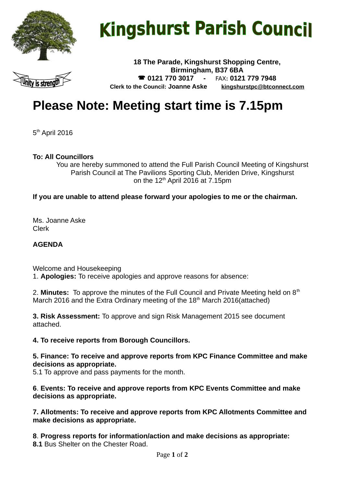

# **Kingshurst Parish Council**

**18 The Parade, Kingshurst Shopping Centre, Birmingham, B37 6BA 0121 770 3017 -** FAX**: 0121 779 7948 Clerk to the Council: Joanne Aske [kingshurstpc@btconnect.com](mailto:kingshurstpc@btconnect.com)**

# **Please Note: Meeting start time is 7.15pm**

5<sup>th</sup> April 2016

#### **To: All Councillors**

You are hereby summoned to attend the Full Parish Council Meeting of Kingshurst Parish Council at The Pavilions Sporting Club, Meriden Drive, Kingshurst on the  $12<sup>th</sup>$  April 2016 at 7.15pm

#### **If you are unable to attend please forward your apologies to me or the chairman.**

Ms. Joanne Aske Clerk

#### **AGENDA**

Welcome and Housekeeping 1. **Apologies:** To receive apologies and approve reasons for absence:

2. **Minutes:** To approve the minutes of the Full Council and Private Meeting held on 8<sup>th</sup> March 2016 and the Extra Ordinary meeting of the  $18<sup>th</sup>$  March 2016(attached)

**3. Risk Assessment:** To approve and sign Risk Management 2015 see document attached.

#### **4. To receive reports from Borough Councillors.**

**5. Finance: To receive and approve reports from KPC Finance Committee and make decisions as appropriate.** 

5.1 To approve and pass payments for the month.

**6**. **Events: To receive and approve reports from KPC Events Committee and make decisions as appropriate.**

**7. Allotments: To receive and approve reports from KPC Allotments Committee and make decisions as appropriate.**

**8**. **Progress reports for information/action and make decisions as appropriate: 8.1** Bus Shelter on the Chester Road.